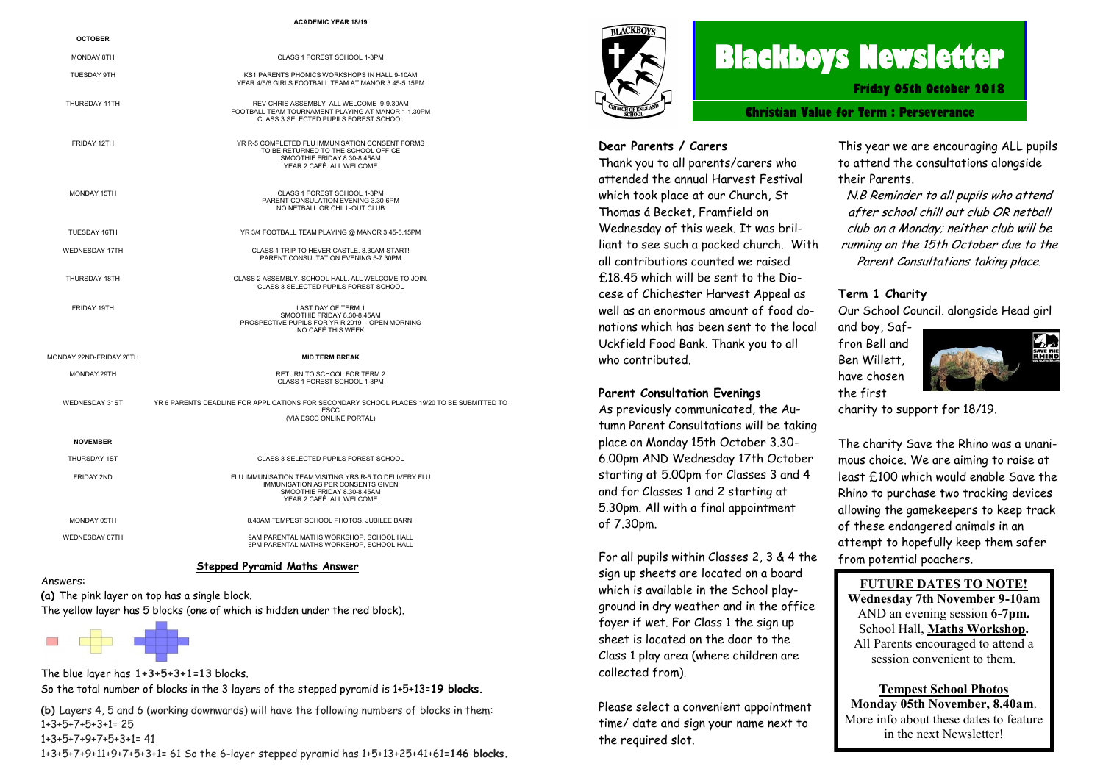#### **ACADEMIC YEAR 18/19**

| <b>OCTOBER</b>          |                                                                                                                                                        |
|-------------------------|--------------------------------------------------------------------------------------------------------------------------------------------------------|
| <b>MONDAY 8TH</b>       | CLASS 1 FOREST SCHOOL 1-3PM                                                                                                                            |
| <b>TUESDAY 9TH</b>      | KS1 PARENTS PHONICS WORKSHOPS IN HALL 9-10AM<br>YEAR 4/5/6 GIRLS FOOTBALL TEAM AT MANOR 3.45-5.15PM                                                    |
| THURSDAY 11TH           | REV CHRIS ASSEMBLY ALL WELCOME 9-9.30AM<br>FOOTBALL TEAM TOURNAMENT PLAYING AT MANOR 1-1.30PM<br>CLASS 3 SELECTED PUPILS FOREST SCHOOL                 |
| FRIDAY 12TH             | YR R-5 COMPLETED FLU IMMUNISATION CONSENT FORMS<br>TO BE RETURNED TO THE SCHOOL OFFICE<br>SMOOTHIE FRIDAY 8.30-8.45AM<br>YEAR 2 CAFÉ ALL WELCOME       |
| <b>MONDAY 15TH</b>      | CLASS 1 FOREST SCHOOL 1-3PM<br>PARENT CONSULATION EVENING 3.30-6PM<br>NO NETBALL OR CHILL-OUT CLUB                                                     |
| TUESDAY 16TH            | YR 3/4 FOOTBALL TEAM PLAYING @ MANOR 3.45-5.15PM                                                                                                       |
| <b>WEDNESDAY 17TH</b>   | CLASS 1 TRIP TO HEVER CASTLE, 8,30AM START!<br>PARENT CONSULTATION EVENING 5-7.30PM                                                                    |
| THURSDAY 18TH           | CLASS 2 ASSEMBLY. SCHOOL HALL. ALL WELCOME TO JOIN.<br>CLASS 3 SELECTED PUPILS FOREST SCHOOL                                                           |
| FRIDAY 19TH             | LAST DAY OF TERM 1<br>SMOOTHIE FRIDAY 8.30-8.45AM<br>PROSPECTIVE PUPILS FOR YR R 2019 - OPEN MORNING<br>NO CAFÉ THIS WEEK                              |
| MONDAY 22ND-FRIDAY 26TH | <b>MID TERM BREAK</b>                                                                                                                                  |
| MONDAY 29TH             | RETURN TO SCHOOL FOR TERM 2<br>CLASS 1 FOREST SCHOOL 1-3PM                                                                                             |
| WEDNESDAY 31ST          | YR 6 PARENTS DEADLINE FOR APPLICATIONS FOR SECONDARY SCHOOL PLACES 19/20 TO BE SUBMITTED TO<br><b>ESCC</b><br>(VIA ESCC ONLINE PORTAL)                 |
| <b>NOVEMBER</b>         |                                                                                                                                                        |
| <b>THURSDAY 1ST</b>     | CLASS 3 SELECTED PUPILS FOREST SCHOOL                                                                                                                  |
| <b>FRIDAY 2ND</b>       | FLU IMMUNISATION TEAM VISITING YRS R-5 TO DELIVERY FLU<br>IMMUNISATION AS PER CONSENTS GIVEN<br>SMOOTHIE FRIDAY 8.30-8.45AM<br>YEAR 2 CAFÉ ALL WELCOME |
| MONDAY 05TH             | 8.40AM TEMPEST SCHOOL PHOTOS, JUBILEE BARN.                                                                                                            |
| WEDNESDAY 07TH          | 9AM PARENTAL MATHS WORKSHOP, SCHOOL HALL<br>6PM PARENTAL MATHS WORKSHOP, SCHOOL HALL                                                                   |

#### **Stepped Pyramid Maths Answer**

**(a)** The pink layer on top has a single block. The yellow layer has 5 blocks (one of which is hidden under the red block).



Answers:

The blue layer has **1+3+5+3+1=13** blocks. So the total number of blocks in the 3 layers of the stepped pyramid is 1+5+13=**19 blocks.**

**(b)** Layers 4, 5 and 6 (working downwards) will have the following numbers of blocks in them: 1+3+5+7+5+3+1= 25 1+3+5+7+9+7+5+3+1= 41

1+3+5+7+9+11+9+7+5+3+1= 61 So the 6-layer stepped pyramid has 1+5+13+25+41+61=**146 blocks.**



## **Blackboys Newsletter**

**Friday 05th October 2018**

**Christian Value for Term : Perseverance**

#### **Dear Parents / Carers**

Thank you to all parents/carers who attended the annual Harvest Festival which took place at our Church, St Thomas á Becket, Framfield on Wednesday of this week. It was brilliant to see such a packed church. With all contributions counted we raised £18.45 which will be sent to the Diocese of Chichester Harvest Appeal as well as an enormous amount of food donations which has been sent to the local Uckfield Food Bank. Thank you to all who contributed.

#### **Parent Consultation Evenings**

As previously communicated, the Autumn Parent Consultations will be taking place on Monday 15th October 3.30- 6.00pm AND Wednesday 17th October starting at 5.00pm for Classes 3 and 4 and for Classes 1 and 2 starting at 5.30pm. All with a final appointment of 7.30pm.

For all pupils within Classes 2, 3 & 4 the sign up sheets are located on a board which is available in the School playground in dry weather and in the office fover if wet. For Class 1 the sign up sheet is located on the door to the Class 1 play area (where children are collected from).

Please select a convenient appointment time/ date and sign your name next to the required slot.

This year we are encouraging ALL pupils to attend the consultations alongside their Parents.

N.B Reminder to all pupils who attend after school chill out club OR netball club on a Monday; neither club will be running on the 15th October due to the Parent Consultations taking place.

#### **Term 1 Charity**

Our School Council. alongside Head girl

and boy, Saffron Bell and Ben Willett, have chosen the first



charity to support for 18/19.

The charity Save the Rhino was a unanimous choice. We are aiming to raise at least £100 which would enable Save the Rhino to purchase two tracking devices allowing the gamekeepers to keep track of these endangered animals in an attempt to hopefully keep them safer from potential poachers.

#### **FUTURE DATES TO NOTE!**

**Wednesday 7th November 9-10am**  AND an evening session **6-7pm.**  School Hall, **Maths Workshop.** All Parents encouraged to attend a session convenient to them.

**Tempest School Photos Monday 05th November, 8.40am**. More info about these dates to feature in the next Newsletter!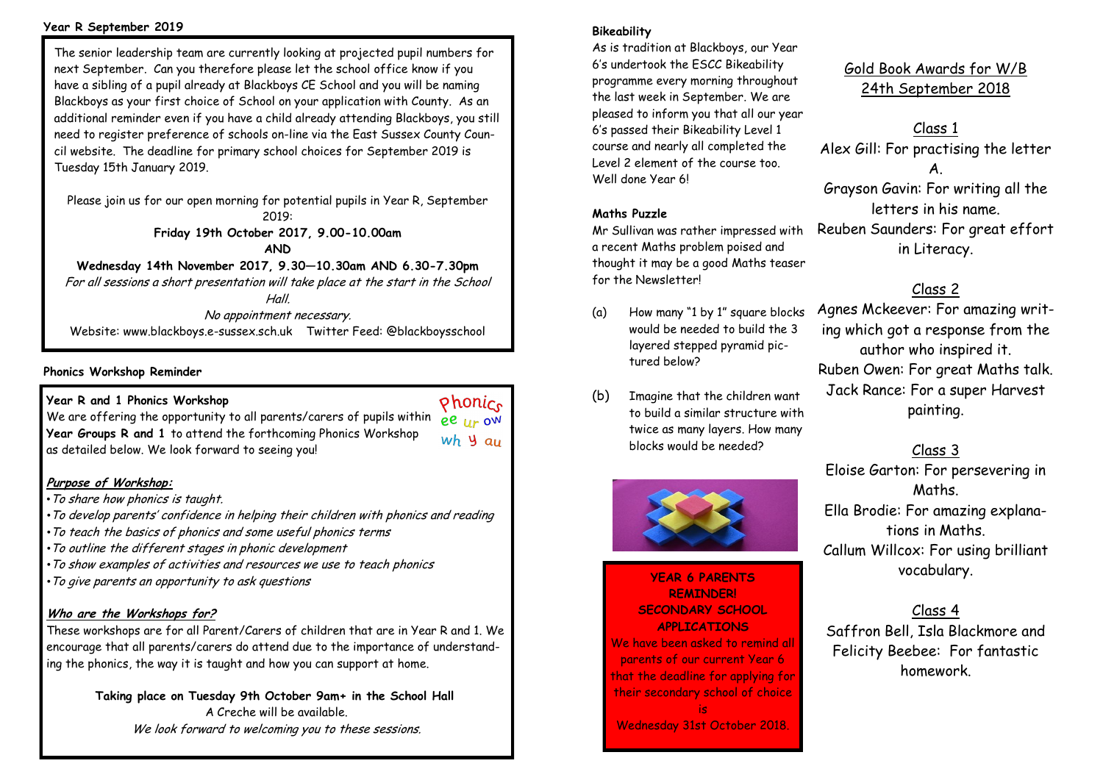#### **Year R September 2019**

The senior leadership team are currently looking at projected pupil numbers for next September. Can you therefore please let the school office know if you have a sibling of a pupil already at Blackboys CE School and you will be naming Blackboys as your first choice of School on your application with County. As an additional reminder even if you have a child already attending Blackboys, you still need to register preference of schools on-line via the East Sussex County Council website. The deadline for primary school choices for September 2019 is Tuesday 15th January 2019.

Please join us for our open morning for potential pupils in Year R, September 2019: **Friday 19th October 2017, 9.00-10.00am**

**AND**

**Wednesday 14th November 2017, 9.30—10.30am AND 6.30-7.30pm** For all sessions a short presentation will take place at the start in the School Hall.

No appointment necessary.

Website: www.blackboys.e-sussex.sch.uk Twitter Feed: @blackboysschool

### **Phonics Workshop Reminder**

### **Year R and 1 Phonics Workshop**

We are offering the opportunity to all parents/carers of pupils within **ee** IIr OW **Year Groups R and 1** to attend the forthcoming Phonics Workshop wh y au as detailed below. We look forward to seeing you!

## **Purpose of Workshop:**

- •To share how phonics is taught.
- *•*To develop parents' confidence in helping their children with phonics and reading
- *•*To teach the basics of phonics and some useful phonics terms
- *•*To outline the different stages in phonic development
- *•*To show examples of activities and resources we use to teach phonics
- *•*To give parents an opportunity to ask questions

## **Who are the Workshops for?**

These workshops are for all Parent/Carers of children that are in Year R and 1. We encourage that all parents/carers do attend due to the importance of understanding the phonics, the way it is taught and how you can support at home.

> **Taking place on Tuesday 9th October 9am+ in the School Hall** A Creche will be available. We look forward to welcoming you to these sessions.

### **Bikeability**

As is tradition at Blackboys, our Year 6's undertook the ESCC Bikeability programme every morning throughout the last week in September. We are pleased to inform you that all our year 6's passed their Bikeability Level 1 course and nearly all completed the Level 2 element of the course too. Well done Year 6!

### **Maths Puzzle**

Mr Sullivan was rather impressed with a recent Maths problem poised and thought it may be a good Maths teaser for the Newsletter!

- (a) How many "1 by 1" square blocks would be needed to build the 3 layered stepped pyramid pictured below?
- (b) Imagine that the children want to build a similar structure with twice as many layers. How many blocks would be needed?



## **YEAR 6 PARENTS REMINDER! SECONDARY SCHOOL APPLICATIONS**

We have been asked to remind all parents of our current Year 6 that the deadline for applying for their secondary school of choice is Wednesday 31st October 2018.

Gold Book Awards for W/B 24th September 2018

Class 1 Alex Gill: For practising the letter A. Grayson Gavin: For writing all the letters in his name. Reuben Saunders: For great effort in Literacy.

## Class 2

Agnes Mckeever: For amazing writing which got a response from the author who inspired it. Ruben Owen: For great Maths talk. Jack Rance: For a super Harvest painting.

## Class 3

Eloise Garton: For persevering in Maths. Ella Brodie: For amazing explanations in Maths. Callum Willcox: For using brilliant vocabulary.

## Class 4 Saffron Bell, Isla Blackmore and Felicity Beebee: For fantastic homework.

Phonice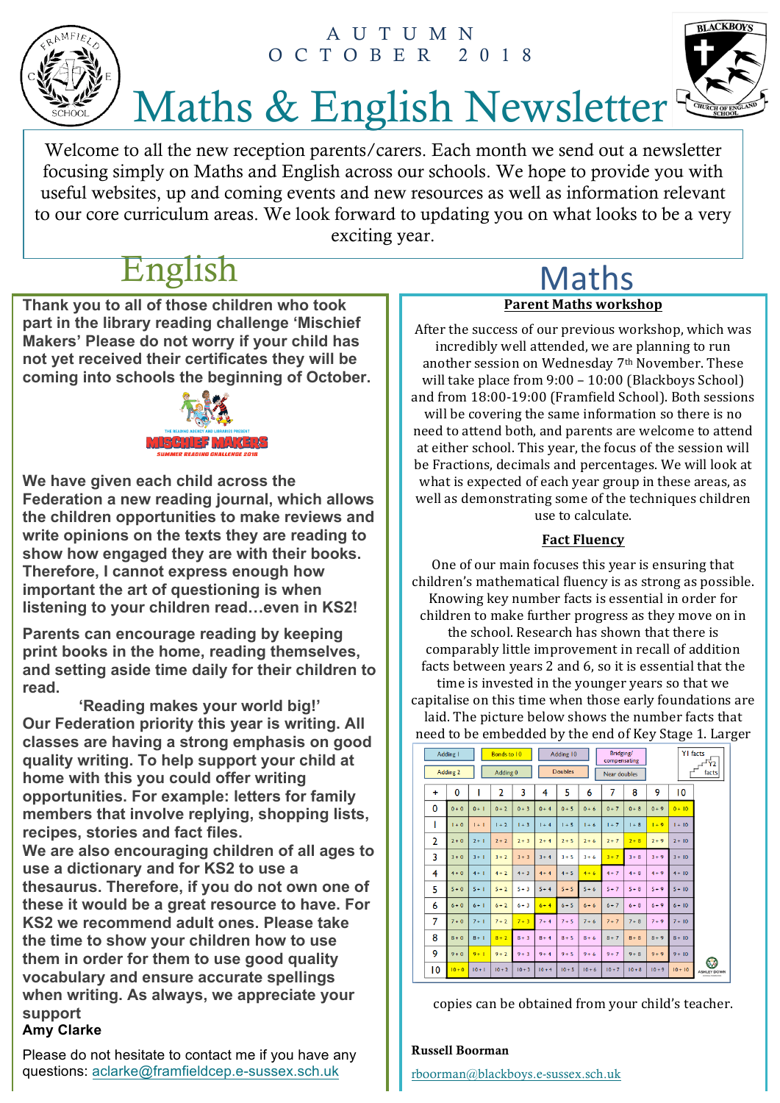## AUTUMN OCTO BER 2018





# Maths & English Newsletter

Welcome to all the new reception parents/carers. Each month we send out a newsletter focusing simply on Maths and English across our schools. We hope to provide you with useful websites, up and coming events and new resources as well as information relevant to our core curriculum areas. We look forward to updating you on what looks to be a very exciting year.

## English Maths

**Thank you to all of those children who took part in the library reading challenge 'Mischief Makers' Please do not worry if your child has not yet received their certificates they will be coming into schools the beginning of October.** 



**We have given each child across the Federation a new reading journal, which allows the children opportunities to make reviews and write opinions on the texts they are reading to show how engaged they are with their books. Therefore, I cannot express enough how important the art of questioning is when listening to your children read…even in KS2!** 

**Parents can encourage reading by keeping print books in the home, reading themselves, and setting aside time daily for their children to read.**

**'Reading makes your world big!' Our Federation priority this year is writing. All classes are having a strong emphasis on good quality writing. To help support your child at home with this you could offer writing opportunities. For example: letters for family members that involve replying, shopping lists, recipes, stories and fact files.** 

**We are also encouraging children of all ages to use a dictionary and for KS2 to use a thesaurus. Therefore, if you do not own one of these it would be a great resource to have. For KS2 we recommend adult ones. Please take the time to show your children how to use them in order for them to use good quality vocabulary and ensure accurate spellings when writing. As always, we appreciate your support**

## **Amy Clarke**

Please do not hesitate to contact me if you have any questions: aclarke@framfieldcep.e-sussex.sch.uk

# **Parent Maths workshop**

After the success of our previous workshop, which was incredibly well attended, we are planning to run another session on Wednesday 7<sup>th</sup> November. These will take place from  $9:00 - 10:00$  (Blackboys School) and from 18:00-19:00 (Framfield School). Both sessions will be covering the same information so there is no need to attend both, and parents are welcome to attend at either school. This year, the focus of the session will be Fractions, decimals and percentages. We will look at what is expected of each year group in these areas, as well as demonstrating some of the techniques children use to calculate.

## **Fact Fluency**

One of our main focuses this year is ensuring that children's mathematical fluency is as strong as possible. Knowing key number facts is essential in order for children to make further progress as they move on in the school. Research has shown that there is comparably little improvement in recall of addition facts between years 2 and 6, so it is essential that the time is invested in the younger years so that we capitalise on this time when those early foundations are laid. The picture below shows the number facts that need to be embedded by the end of Key Stage 1. Larger

|          | Adding I |          | Bonds to 10    |          |          | Adding 10      |          | Bridging/<br>compensating |          |          | <b>YI</b> facts<br><b>TY2</b> |                         |
|----------|----------|----------|----------------|----------|----------|----------------|----------|---------------------------|----------|----------|-------------------------------|-------------------------|
|          | Adding 2 |          | Adding 0       |          |          | <b>Doubles</b> |          | Near doubles              |          |          |                               | facts                   |
| ÷        | 0        | I        | $\overline{2}$ | 3        | 4        | 5              | 6        | 7                         | 8        | 9        | 10                            |                         |
| $\Omega$ | $0 + 0$  | $0 + 1$  | $0 + 2$        | $0 + 3$  | $0 + 4$  | $0 + 5$        | $0 + 6$  | $0 + 7$                   | $0 + 8$  | $0 + 9$  | $0 + 10$                      |                         |
| ı        | $1 + 0$  | $1 + 1$  | $1 + 2$        | $1 + 3$  | $1 + 4$  | $1 + 5$        | $1 + 6$  | $1 + 7$                   | $1 + 8$  | $1 + 9$  | $1 + 10$                      |                         |
| 2        | $2 + 0$  | $2 + 1$  | $2 + 2$        | $2 + 3$  | $2 + 4$  | $2 + 5$        | $2 + 6$  | $2 + 7$                   | $2 + 8$  | $2 + 9$  | $2 + 10$                      |                         |
| 3        | $3 + 0$  | $3 + 1$  | $3 + 2$        | $3 + 3$  | $3 + 4$  | $3 + 5$        | $3 + 6$  | $3 + 7$                   | $3 + 8$  | $3 + 9$  | $3 + 10$                      |                         |
| 4        | $4 + 0$  | $4+1$    | $4 + 2$        | $4 + 3$  | $4 + 4$  | $4 + 5$        | $4 + 6$  | $4 + 7$                   | $4 + 8$  | $4 + 9$  | $4 + 10$                      |                         |
| 5        | $5 + 0$  | $5 + 1$  | $5 + 2$        | $5 + 3$  | $5 + 4$  | $5 + 5$        | $5 + 6$  | $5 + 7$                   | $5 + 8$  | $5 + 9$  | $5 + 10$                      |                         |
| 6        | $6 + 0$  | $6+1$    | $6 + 2$        | $6 + 3$  | $6 + 4$  | $6 + 5$        | $6 + 6$  | $6 + 7$                   | $6 + 8$  | $6 + 9$  | $6 + 10$                      |                         |
| 7        | $7 + 0$  | $7 + 1$  | $7 + 2$        | $7 + 3$  | $7 + 4$  | $7 + 5$        | $7 + 6$  | $7 + 7$                   | $7 + 8$  | $7 + 9$  | $7 + 10$                      |                         |
| 8        | $8+0$    | $8 + 1$  | $8 + 2$        | $8 + 3$  | $8 + 4$  | $8 + 5$        | $8 + 6$  | $8 + 7$                   | $8+8$    | $8 + 9$  | $8 + 10$                      |                         |
| 9        | $9 + 0$  | $9 + 1$  | $9 + 2$        | $9 + 3$  | $9 + 4$  | $9 + 5$        | $9 + 6$  | $9 + 7$                   | $9 + 8$  | $9 + 9$  | $9 + 10$                      |                         |
| 10       | $10 + 0$ | $10 + 1$ | $10 + 2$       | $10 + 3$ | $10 + 4$ | $10 + 5$       | $10 + 6$ | $10 + 7$                  | $10 + 8$ | $10 + 9$ | $10 + 10$                     | G<br><b>ASHLEY DOWN</b> |

copies can be obtained from your child's teacher.

## Russell Boorman

rboorman@blackboys.e-sussex.sch.uk